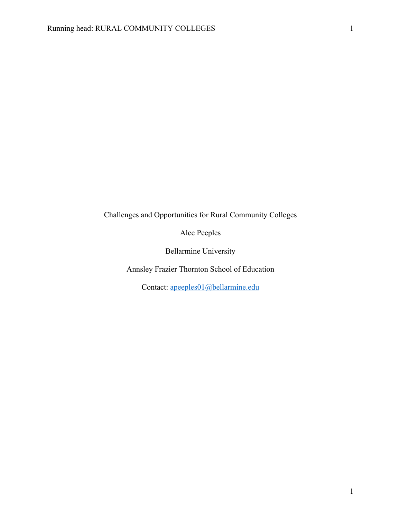Challenges and Opportunities for Rural Community Colleges

Alec Peeples

Bellarmine University

Annsley Frazier Thornton School of Education

Contact: apeeples01@bellarmine.edu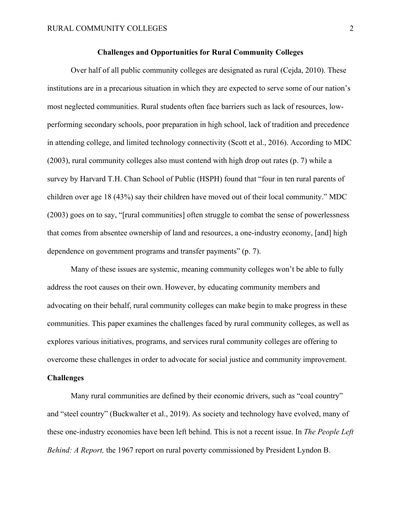## **Challenges and Opportunities for Rural Community Colleges**

Over half of all public community colleges are designated as rural (Cejda, 2010). These institutions are in a precarious situation in which they are expected to serve some of our nation's most neglected communities. Rural students often face barriers such as lack of resources, lowperforming secondary schools, poor preparation in high school, lack of tradition and precedence in attending college, and limited technology connectivity (Scott et al., 2016). According to MDC (2003), rural community colleges also must contend with high drop out rates (p. 7) while a survey by Harvard T.H. Chan School of Public (HSPH) found that "four in ten rural parents of children over age 18 (43%) say their children have moved out of their local community." MDC (2003) goes on to say, "[rural communities] often struggle to combat the sense of powerlessness that comes from absentee ownership of land and resources, a one-industry economy, [and] high dependence on government programs and transfer payments" (p. 7).

Many of these issues are systemic, meaning community colleges won't be able to fully address the root causes on their own. However, by educating community members and advocating on their behalf, rural community colleges can make begin to make progress in these communities. This paper examines the challenges faced by rural community colleges, as well as explores various initiatives, programs, and services rural community colleges are offering to overcome these challenges in order to advocate for social justice and community improvement.

#### **Challenges**

Many rural communities are defined by their economic drivers, such as "coal country" and "steel country" (Buckwalter et al., 2019). As society and technology have evolved, many of these one-industry economies have been left behind. This is not a recent issue. In *The People Left Behind: A Report,* the 1967 report on rural poverty commissioned by President Lyndon B.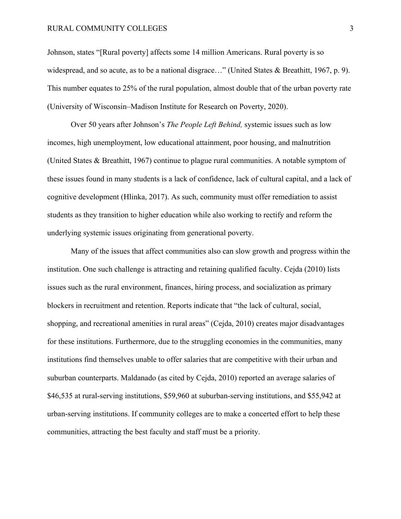### RURAL COMMUNITY COLLEGES 3

Johnson, states "[Rural poverty] affects some 14 million Americans. Rural poverty is so widespread, and so acute, as to be a national disgrace…" (United States & Breathitt, 1967, p. 9). This number equates to 25% of the rural population, almost double that of the urban poverty rate (University of Wisconsin–Madison Institute for Research on Poverty, 2020).

Over 50 years after Johnson's *The People Left Behind,* systemic issues such as low incomes, high unemployment, low educational attainment, poor housing, and malnutrition (United States & Breathitt, 1967) continue to plague rural communities. A notable symptom of these issues found in many students is a lack of confidence, lack of cultural capital, and a lack of cognitive development (Hlinka, 2017). As such, community must offer remediation to assist students as they transition to higher education while also working to rectify and reform the underlying systemic issues originating from generational poverty.

Many of the issues that affect communities also can slow growth and progress within the institution. One such challenge is attracting and retaining qualified faculty. Cejda (2010) lists issues such as the rural environment, finances, hiring process, and socialization as primary blockers in recruitment and retention. Reports indicate that "the lack of cultural, social, shopping, and recreational amenities in rural areas" (Cejda, 2010) creates major disadvantages for these institutions. Furthermore, due to the struggling economies in the communities, many institutions find themselves unable to offer salaries that are competitive with their urban and suburban counterparts. Maldanado (as cited by Cejda, 2010) reported an average salaries of \$46,535 at rural-serving institutions, \$59,960 at suburban-serving institutions, and \$55,942 at urban-serving institutions. If community colleges are to make a concerted effort to help these communities, attracting the best faculty and staff must be a priority.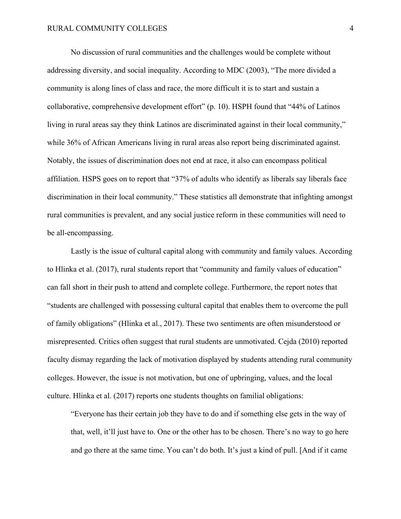No discussion of rural communities and the challenges would be complete without addressing diversity, and social inequality. According to MDC (2003), "The more divided a community is along lines of class and race, the more difficult it is to start and sustain a collaborative, comprehensive development effort" (p. 10). HSPH found that "44% of Latinos living in rural areas say they think Latinos are discriminated against in their local community," while 36% of African Americans living in rural areas also report being discriminated against. Notably, the issues of discrimination does not end at race, it also can encompass political affiliation. HSPS goes on to report that "37% of adults who identify as liberals say liberals face discrimination in their local community." These statistics all demonstrate that infighting amongst rural communities is prevalent, and any social justice reform in these communities will need to be all-encompassing.

Lastly is the issue of cultural capital along with community and family values. According to Hlinka et al. (2017), rural students report that "community and family values of education" can fall short in their push to attend and complete college. Furthermore, the report notes that "students are challenged with possessing cultural capital that enables them to overcome the pull of family obligations" (Hlinka et al., 2017). These two sentiments are often misunderstood or misrepresented. Critics often suggest that rural students are unmotivated. Cejda (2010) reported faculty dismay regarding the lack of motivation displayed by students attending rural community colleges. However, the issue is not motivation, but one of upbringing, values, and the local culture. Hlinka et al. (2017) reports one students thoughts on familial obligations:

"Everyone has their certain job they have to do and if something else gets in the way of that, well, it'll just have to. One or the other has to be chosen. There's no way to go here and go there at the same time. You can't do both. It's just a kind of pull. [And if it came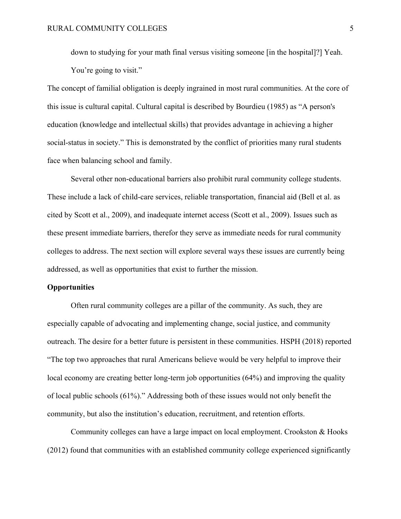down to studying for your math final versus visiting someone [in the hospital]?] Yeah. You're going to visit."

The concept of familial obligation is deeply ingrained in most rural communities. At the core of this issue is cultural capital. Cultural capital is described by Bourdieu (1985) as "A person's education (knowledge and intellectual skills) that provides advantage in achieving a higher social-status in society." This is demonstrated by the conflict of priorities many rural students face when balancing school and family.

Several other non-educational barriers also prohibit rural community college students. These include a lack of child-care services, reliable transportation, financial aid (Bell et al. as cited by Scott et al., 2009), and inadequate internet access (Scott et al., 2009). Issues such as these present immediate barriers, therefor they serve as immediate needs for rural community colleges to address. The next section will explore several ways these issues are currently being addressed, as well as opportunities that exist to further the mission.

# **Opportunities**

Often rural community colleges are a pillar of the community. As such, they are especially capable of advocating and implementing change, social justice, and community outreach. The desire for a better future is persistent in these communities. HSPH (2018) reported "The top two approaches that rural Americans believe would be very helpful to improve their local economy are creating better long-term job opportunities (64%) and improving the quality of local public schools (61%)." Addressing both of these issues would not only benefit the community, but also the institution's education, recruitment, and retention efforts.

Community colleges can have a large impact on local employment. Crookston & Hooks (2012) found that communities with an established community college experienced significantly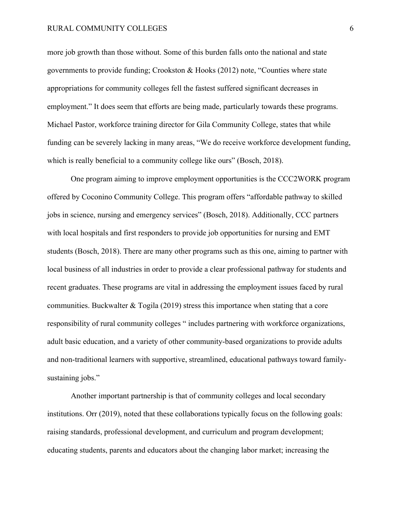#### RURAL COMMUNITY COLLEGES 6

more job growth than those without. Some of this burden falls onto the national and state governments to provide funding; Crookston & Hooks (2012) note, "Counties where state appropriations for community colleges fell the fastest suffered significant decreases in employment." It does seem that efforts are being made, particularly towards these programs. Michael Pastor, workforce training director for Gila Community College, states that while funding can be severely lacking in many areas, "We do receive workforce development funding, which is really beneficial to a community college like ours" (Bosch, 2018).

One program aiming to improve employment opportunities is the CCC2WORK program offered by Coconino Community College. This program offers "affordable pathway to skilled jobs in science, nursing and emergency services" (Bosch, 2018). Additionally, CCC partners with local hospitals and first responders to provide job opportunities for nursing and EMT students (Bosch, 2018). There are many other programs such as this one, aiming to partner with local business of all industries in order to provide a clear professional pathway for students and recent graduates. These programs are vital in addressing the employment issues faced by rural communities. Buckwalter & Togila (2019) stress this importance when stating that a core responsibility of rural community colleges " includes partnering with workforce organizations, adult basic education, and a variety of other community-based organizations to provide adults and non-traditional learners with supportive, streamlined, educational pathways toward familysustaining jobs."

Another important partnership is that of community colleges and local secondary institutions. Orr (2019), noted that these collaborations typically focus on the following goals: raising standards, professional development, and curriculum and program development; educating students, parents and educators about the changing labor market; increasing the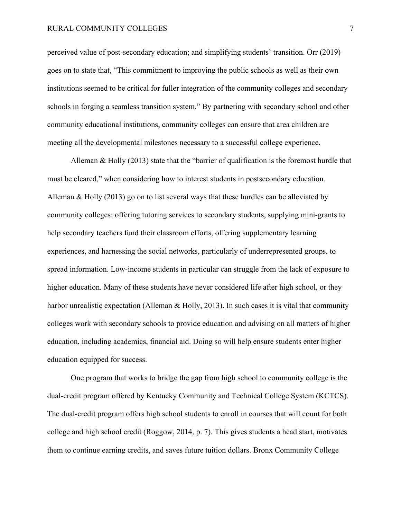#### RURAL COMMUNITY COLLEGES 7

perceived value of post-secondary education; and simplifying students' transition. Orr (2019) goes on to state that, "This commitment to improving the public schools as well as their own institutions seemed to be critical for fuller integration of the community colleges and secondary schools in forging a seamless transition system." By partnering with secondary school and other community educational institutions, community colleges can ensure that area children are meeting all the developmental milestones necessary to a successful college experience.

Alleman & Holly (2013) state that the "barrier of qualification is the foremost hurdle that must be cleared," when considering how to interest students in postsecondary education. Alleman & Holly (2013) go on to list several ways that these hurdles can be alleviated by community colleges: offering tutoring services to secondary students, supplying mini-grants to help secondary teachers fund their classroom efforts, offering supplementary learning experiences, and harnessing the social networks, particularly of underrepresented groups, to spread information. Low-income students in particular can struggle from the lack of exposure to higher education. Many of these students have never considered life after high school, or they harbor unrealistic expectation (Alleman & Holly, 2013). In such cases it is vital that community colleges work with secondary schools to provide education and advising on all matters of higher education, including academics, financial aid. Doing so will help ensure students enter higher education equipped for success.

One program that works to bridge the gap from high school to community college is the dual-credit program offered by Kentucky Community and Technical College System (KCTCS). The dual-credit program offers high school students to enroll in courses that will count for both college and high school credit (Roggow, 2014, p. 7). This gives students a head start, motivates them to continue earning credits, and saves future tuition dollars. Bronx Community College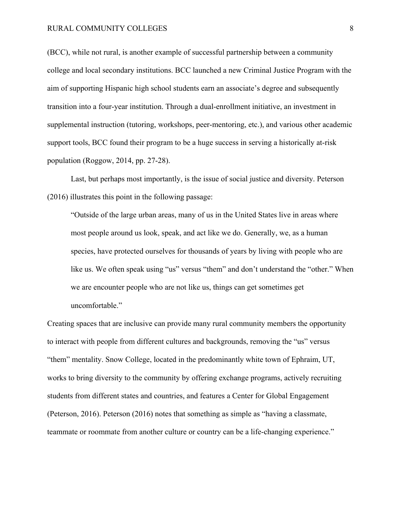(BCC), while not rural, is another example of successful partnership between a community college and local secondary institutions. BCC launched a new Criminal Justice Program with the aim of supporting Hispanic high school students earn an associate's degree and subsequently transition into a four-year institution. Through a dual-enrollment initiative, an investment in supplemental instruction (tutoring, workshops, peer-mentoring, etc.), and various other academic support tools, BCC found their program to be a huge success in serving a historically at-risk population (Roggow, 2014, pp. 27-28).

Last, but perhaps most importantly, is the issue of social justice and diversity. Peterson (2016) illustrates this point in the following passage:

"Outside of the large urban areas, many of us in the United States live in areas where most people around us look, speak, and act like we do. Generally, we, as a human species, have protected ourselves for thousands of years by living with people who are like us. We often speak using "us" versus "them" and don't understand the "other." When we are encounter people who are not like us, things can get sometimes get uncomfortable."

Creating spaces that are inclusive can provide many rural community members the opportunity to interact with people from different cultures and backgrounds, removing the "us" versus "them" mentality. Snow College, located in the predominantly white town of Ephraim, UT, works to bring diversity to the community by offering exchange programs, actively recruiting students from different states and countries, and features a Center for Global Engagement (Peterson, 2016). Peterson (2016) notes that something as simple as "having a classmate, teammate or roommate from another culture or country can be a life-changing experience."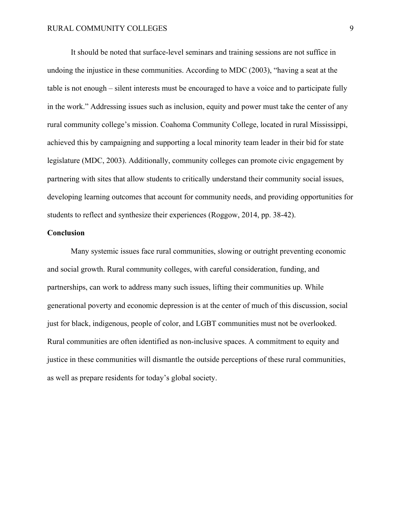It should be noted that surface-level seminars and training sessions are not suffice in undoing the injustice in these communities. According to MDC (2003), "having a seat at the table is not enough – silent interests must be encouraged to have a voice and to participate fully in the work." Addressing issues such as inclusion, equity and power must take the center of any rural community college's mission. Coahoma Community College, located in rural Mississippi, achieved this by campaigning and supporting a local minority team leader in their bid for state legislature (MDC, 2003). Additionally, community colleges can promote civic engagement by partnering with sites that allow students to critically understand their community social issues, developing learning outcomes that account for community needs, and providing opportunities for students to reflect and synthesize their experiences (Roggow, 2014, pp. 38-42).

## **Conclusion**

Many systemic issues face rural communities, slowing or outright preventing economic and social growth. Rural community colleges, with careful consideration, funding, and partnerships, can work to address many such issues, lifting their communities up. While generational poverty and economic depression is at the center of much of this discussion, social just for black, indigenous, people of color, and LGBT communities must not be overlooked. Rural communities are often identified as non-inclusive spaces. A commitment to equity and justice in these communities will dismantle the outside perceptions of these rural communities, as well as prepare residents for today's global society.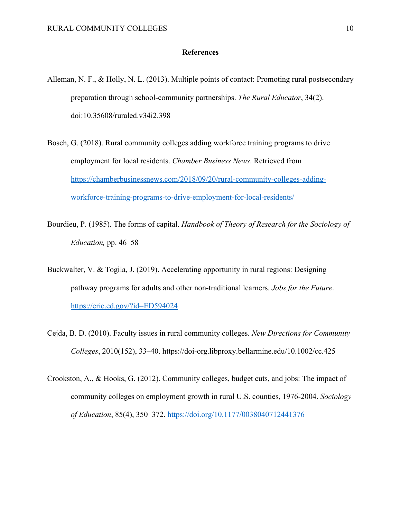# **References**

- Alleman, N. F., & Holly, N. L. (2013). Multiple points of contact: Promoting rural postsecondary preparation through school-community partnerships. *The Rural Educator*, 34(2). doi:10.35608/ruraled.v34i2.398
- Bosch, G. (2018). Rural community colleges adding workforce training programs to drive employment for local residents. *Chamber Business News*. Retrieved from https://chamberbusinessnews.com/2018/09/20/rural-community-colleges-addingworkforce-training-programs-to-drive-employment-for-local-residents/
- Bourdieu, P. (1985). The forms of capital. *Handbook of Theory of Research for the Sociology of Education,* pp. 46–58
- Buckwalter, V. & Togila, J. (2019). Accelerating opportunity in rural regions: Designing pathway programs for adults and other non-traditional learners. *Jobs for the Future*. https://eric.ed.gov/?id=ED594024
- Cejda, B. D. (2010). Faculty issues in rural community colleges. *New Directions for Community Colleges*, 2010(152), 33–40. https://doi-org.libproxy.bellarmine.edu/10.1002/cc.425
- Crookston, A., & Hooks, G. (2012). Community colleges, budget cuts, and jobs: The impact of community colleges on employment growth in rural U.S. counties, 1976-2004. *Sociology of Education*, 85(4), 350–372. https://doi.org/10.1177/0038040712441376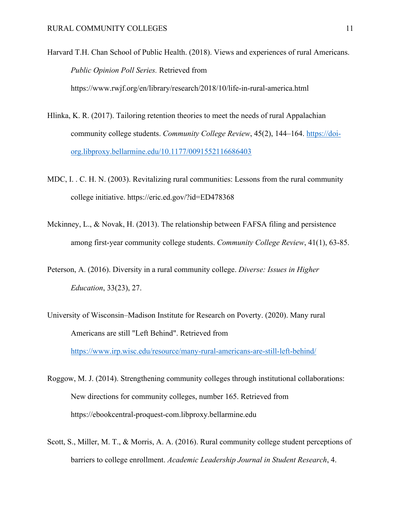Harvard T.H. Chan School of Public Health. (2018). Views and experiences of rural Americans. *Public Opinion Poll Series.* Retrieved from https://www.rwjf.org/en/library/research/2018/10/life-in-rural-america.html

- Hlinka, K. R. (2017). Tailoring retention theories to meet the needs of rural Appalachian community college students. *Community College Review*, 45(2), 144–164. https://doiorg.libproxy.bellarmine.edu/10.1177/0091552116686403
- MDC, I. . C. H. N. (2003). Revitalizing rural communities: Lessons from the rural community college initiative. https://eric.ed.gov/?id=ED478368
- Mckinney, L., & Novak, H. (2013). The relationship between FAFSA filing and persistence among first-year community college students. *Community College Review*, 41(1), 63-85.
- Peterson, A. (2016). Diversity in a rural community college. *Diverse: Issues in Higher Education*, 33(23), 27.
- University of Wisconsin–Madison Institute for Research on Poverty. (2020). Many rural Americans are still "Left Behind". Retrieved from https://www.irp.wisc.edu/resource/many-rural-americans-are-still-left-behind/
- Roggow, M. J. (2014). Strengthening community colleges through institutional collaborations: New directions for community colleges, number 165. Retrieved from https://ebookcentral-proquest-com.libproxy.bellarmine.edu
- Scott, S., Miller, M. T., & Morris, A. A. (2016). Rural community college student perceptions of barriers to college enrollment. *Academic Leadership Journal in Student Research*, 4.